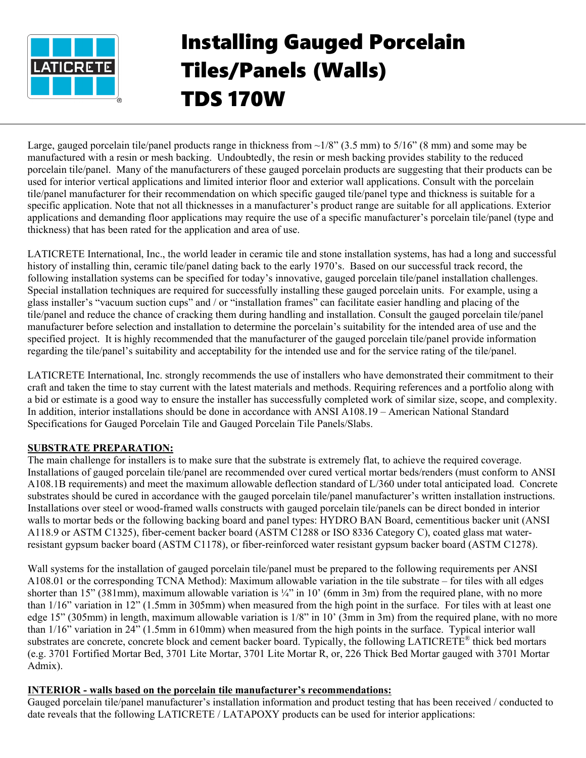

# Installing Gauged Porcelain Tiles/Panels (Walls) TDS 170W

Large, gauged porcelain tile/panel products range in thickness from  $\sim$ 1/8" (3.5 mm) to 5/16" (8 mm) and some may be manufactured with a resin or mesh backing. Undoubtedly, the resin or mesh backing provides stability to the reduced porcelain tile/panel. Many of the manufacturers of these gauged porcelain products are suggesting that their products can be used for interior vertical applications and limited interior floor and exterior wall applications. Consult with the porcelain tile/panel manufacturer for their recommendation on which specific gauged tile/panel type and thickness is suitable for a specific application. Note that not all thicknesses in a manufacturer's product range are suitable for all applications. Exterior applications and demanding floor applications may require the use of a specific manufacturer's porcelain tile/panel (type and thickness) that has been rated for the application and area of use.

LATICRETE International, Inc., the world leader in ceramic tile and stone installation systems, has had a long and successful history of installing thin, ceramic tile/panel dating back to the early 1970's. Based on our successful track record, the following installation systems can be specified for today's innovative, gauged porcelain tile/panel installation challenges. Special installation techniques are required for successfully installing these gauged porcelain units. For example, using a glass installer's "vacuum suction cups" and / or "installation frames" can facilitate easier handling and placing of the tile/panel and reduce the chance of cracking them during handling and installation. Consult the gauged porcelain tile/panel manufacturer before selection and installation to determine the porcelain's suitability for the intended area of use and the specified project. It is highly recommended that the manufacturer of the gauged porcelain tile/panel provide information regarding the tile/panel's suitability and acceptability for the intended use and for the service rating of the tile/panel.

LATICRETE International, Inc. strongly recommends the use of installers who have demonstrated their commitment to their craft and taken the time to stay current with the latest materials and methods. Requiring references and a portfolio along with a bid or estimate is a good way to ensure the installer has successfully completed work of similar size, scope, and complexity. In addition, interior installations should be done in accordance with ANSI A108.19 – American National Standard Specifications for Gauged Porcelain Tile and Gauged Porcelain Tile Panels/Slabs.

# **SUBSTRATE PREPARATION:**

The main challenge for installers is to make sure that the substrate is extremely flat, to achieve the required coverage. Installations of gauged porcelain tile/panel are recommended over cured vertical mortar beds/renders (must conform to ANSI A108.1B requirements) and meet the maximum allowable deflection standard of L/360 under total anticipated load. Concrete substrates should be cured in accordance with the gauged porcelain tile/panel manufacturer's written installation instructions. Installations over steel or wood-framed walls constructs with gauged porcelain tile/panels can be direct bonded in interior walls to mortar beds or the following backing board and panel types: HYDRO BAN Board, cementitious backer unit (ANSI A118.9 or ASTM C1325), fiber-cement backer board (ASTM C1288 or ISO 8336 Category C), coated glass mat waterresistant gypsum backer board (ASTM C1178), or fiber-reinforced water resistant gypsum backer board (ASTM C1278).

Wall systems for the installation of gauged porcelain tile/panel must be prepared to the following requirements per ANSI A108.01 or the corresponding TCNA Method): Maximum allowable variation in the tile substrate – for tiles with all edges shorter than 15" (381mm), maximum allowable variation is  $\frac{1}{4}$ " in 10' (6mm in 3m) from the required plane, with no more than 1/16" variation in 12" (1.5mm in 305mm) when measured from the high point in the surface. For tiles with at least one edge 15" (305mm) in length, maximum allowable variation is 1/8" in 10' (3mm in 3m) from the required plane, with no more than 1/16" variation in 24" (1.5mm in 610mm) when measured from the high points in the surface. Typical interior wall substrates are concrete, concrete block and cement backer board. Typically, the following LATICRETE<sup>®</sup> thick bed mortars (e.g. 3701 Fortified Mortar Bed, 3701 Lite Mortar, 3701 Lite Mortar R, or, 226 Thick Bed Mortar gauged with 3701 Mortar Admix).

## **INTERIOR - walls based on the porcelain tile manufacturer's recommendations:**

Gauged porcelain tile/panel manufacturer's installation information and product testing that has been received / conducted to date reveals that the following LATICRETE / LATAPOXY products can be used for interior applications: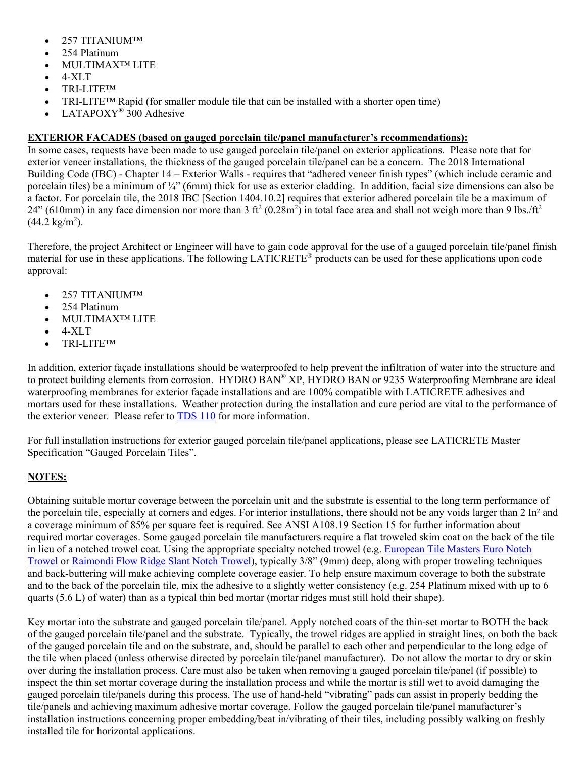- 257 TITANIUM™
- 254 Platinum
- MULTIMAX™ LITE
- $\bullet$  4-XLT
- TRI-LITE™
- TRI-LITE<sup>TM</sup> Rapid (for smaller module tile that can be installed with a shorter open time)
- LATAPOXY<sup>®</sup> 300 Adhesive

## **EXTERIOR FACADES (based on gauged porcelain tile/panel manufacturer's recommendations):**

In some cases, requests have been made to use gauged porcelain tile/panel on exterior applications. Please note that for exterior veneer installations, the thickness of the gauged porcelain tile/panel can be a concern. The 2018 International Building Code (IBC) - Chapter 14 – Exterior Walls - requires that "adhered veneer finish types" (which include ceramic and porcelain tiles) be a minimum of ¼" (6mm) thick for use as exterior cladding. In addition, facial size dimensions can also be a factor. For porcelain tile, the 2018 IBC [Section 1404.10.2] requires that exterior adhered porcelain tile be a maximum of 24" (610mm) in any face dimension nor more than 3 ft<sup>2</sup> (0.28m<sup>2</sup>) in total face area and shall not weigh more than 9 lbs./ft<sup>2</sup>  $(44.2 \text{ kg/m}^2)$ .

Therefore, the project Architect or Engineer will have to gain code approval for the use of a gauged porcelain tile/panel finish  $\overline{a}$  material for use in these applications. The following LATICRETE<sup>®</sup> products can be used for these applications upon code approval:

- 257 TITANIUM™
- 254 Platinum
- MULTIMAX™ LITE
- $\bullet$  4-XLT
- TRI-LITE™

In addition, exterior façade installations should be waterproofed to help prevent the infiltration of water into the structure and to protect building elements from corrosion. HYDRO BAN® XP, HYDRO BAN or 9235 Waterproofing Membrane are ideal waterproofing membranes for exterior façade installations and are 100% compatible with LATICRETE adhesives and mortars used for these installations. Weather protection during the installation and cure period are vital to the performance of the exterior veneer. Please refer to [TDS 110](https://cdn.laticrete.com/%7E/media/support-and-downloads/technical-datasheets/tds110.ashx) for more information.

For full installation instructions for exterior gauged porcelain tile/panel applications, please see LATICRETE Master Specification "Gauged Porcelain Tiles".

# **NOTES:**

Obtaining suitable mortar coverage between the porcelain unit and the substrate is essential to the long term performance of the porcelain tile, especially at corners and edges. For interior installations, there should not be any voids larger than 2 In² and a coverage minimum of 85% per square feet is required. See ANSI A108.19 Section 15 for further information about required mortar coverages. Some gauged porcelain tile manufacturers require a flat troweled skim coat on the back of the tile in lieu of a notched trowel coat. Using the appropriate specialty notched trowel (e.g. [European Tile Masters Euro Notch](http://www.europeantilemasters.com/)  [Trowel](http://www.europeantilemasters.com/) or [Raimondi Flow Ridge Slant Notch Trowel\)](http://www.raimondiusa.com/all_products.html), typically 3/8" (9mm) deep, along with proper troweling techniques and back-buttering will make achieving complete coverage easier. To help ensure maximum coverage to both the substrate and to the back of the porcelain tile, mix the adhesive to a slightly wetter consistency (e.g. 254 Platinum mixed with up to 6 quarts (5.6 L) of water) than as a typical thin bed mortar (mortar ridges must still hold their shape).

Key mortar into the substrate and gauged porcelain tile/panel. Apply notched coats of the thin-set mortar to BOTH the back of the gauged porcelain tile/panel and the substrate. Typically, the trowel ridges are applied in straight lines, on both the back of the gauged porcelain tile and on the substrate, and, should be parallel to each other and perpendicular to the long edge of the tile when placed (unless otherwise directed by porcelain tile/panel manufacturer). Do not allow the mortar to dry or skin over during the installation process. Care must also be taken when removing a gauged porcelain tile/panel (if possible) to inspect the thin set mortar coverage during the installation process and while the mortar is still wet to avoid damaging the gauged porcelain tile/panels during this process. The use of hand-held "vibrating" pads can assist in properly bedding the tile/panels and achieving maximum adhesive mortar coverage. Follow the gauged porcelain tile/panel manufacturer's installation instructions concerning proper embedding/beat in/vibrating of their tiles, including possibly walking on freshly installed tile for horizontal applications.